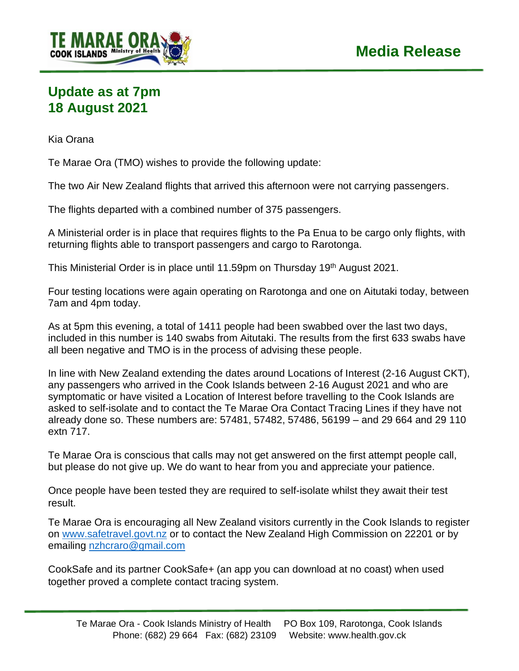

## **Update as at 7pm 18 August 2021**

Kia Orana

Te Marae Ora (TMO) wishes to provide the following update:

The two Air New Zealand flights that arrived this afternoon were not carrying passengers.

The flights departed with a combined number of 375 passengers.

A Ministerial order is in place that requires flights to the Pa Enua to be cargo only flights, with returning flights able to transport passengers and cargo to Rarotonga.

This Ministerial Order is in place until 11.59pm on Thursday 19th August 2021.

Four testing locations were again operating on Rarotonga and one on Aitutaki today, between 7am and 4pm today.

As at 5pm this evening, a total of 1411 people had been swabbed over the last two days, included in this number is 140 swabs from Aitutaki. The results from the first 633 swabs have all been negative and TMO is in the process of advising these people.

In line with New Zealand extending the dates around Locations of Interest (2-16 August CKT), any passengers who arrived in the Cook Islands between 2-16 August 2021 and who are symptomatic or have visited a Location of Interest before travelling to the Cook Islands are asked to self-isolate and to contact the Te Marae Ora Contact Tracing Lines if they have not already done so. These numbers are: 57481, 57482, 57486, 56199 – and 29 664 and 29 110 extn 717.

Te Marae Ora is conscious that calls may not get answered on the first attempt people call, but please do not give up. We do want to hear from you and appreciate your patience.

Once people have been tested they are required to self-isolate whilst they await their test result.

Te Marae Ora is encouraging all New Zealand visitors currently in the Cook Islands to register on [www.safetravel.govt.nz](http://www.safetravel.govt.nz/) or to contact the New Zealand High Commission on 22201 or by emailing [nzhcraro@gmail.com](mailto:nzhcraro@gmail.com)

CookSafe and its partner CookSafe+ (an app you can download at no coast) when used together proved a complete contact tracing system.